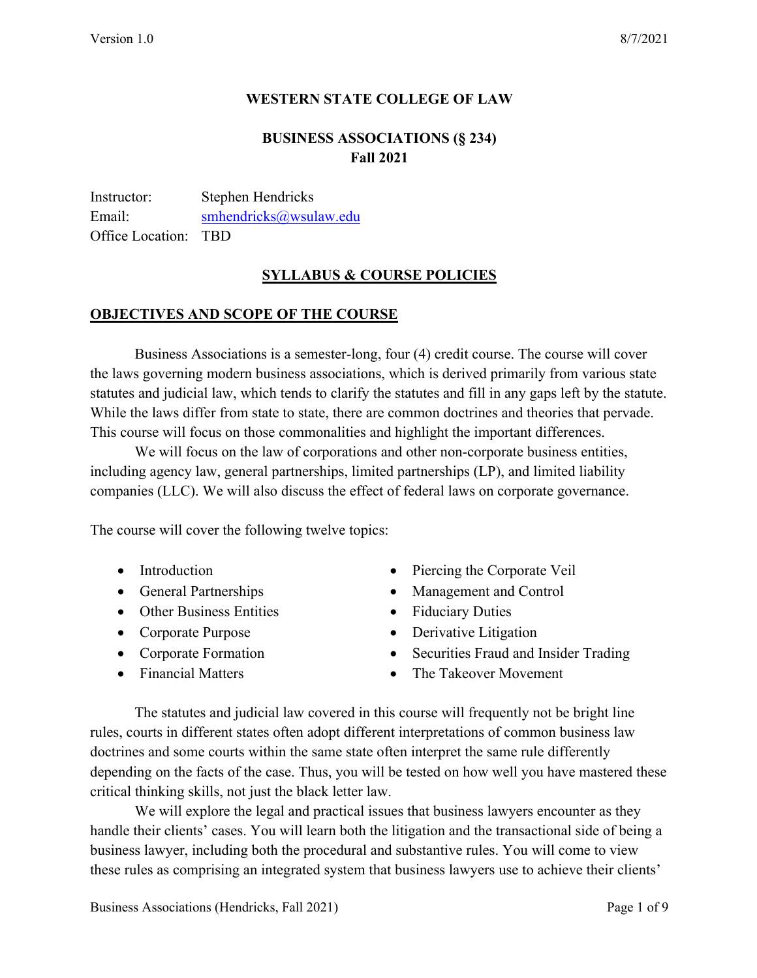# **WESTERN STATE COLLEGE OF LAW**

# **BUSINESS ASSOCIATIONS (§ 234) Fall 2021**

Instructor: Stephen Hendricks Email: smhendricks@wsulaw.edu Office Location: TBD

## **SYLLABUS & COURSE POLICIES**

### **OBJECTIVES AND SCOPE OF THE COURSE**

Business Associations is a semester-long, four (4) credit course. The course will cover the laws governing modern business associations, which is derived primarily from various state statutes and judicial law, which tends to clarify the statutes and fill in any gaps left by the statute. While the laws differ from state to state, there are common doctrines and theories that pervade. This course will focus on those commonalities and highlight the important differences.

We will focus on the law of corporations and other non-corporate business entities, including agency law, general partnerships, limited partnerships (LP), and limited liability companies (LLC). We will also discuss the effect of federal laws on corporate governance.

The course will cover the following twelve topics:

- Introduction
- General Partnerships
- Other Business Entities
- Corporate Purpose
- Corporate Formation
- Financial Matters
- Piercing the Corporate Veil
- Management and Control
- Fiduciary Duties
- Derivative Litigation
- Securities Fraud and Insider Trading
- The Takeover Movement

The statutes and judicial law covered in this course will frequently not be bright line rules, courts in different states often adopt different interpretations of common business law doctrines and some courts within the same state often interpret the same rule differently depending on the facts of the case. Thus, you will be tested on how well you have mastered these critical thinking skills, not just the black letter law.

We will explore the legal and practical issues that business lawyers encounter as they handle their clients' cases. You will learn both the litigation and the transactional side of being a business lawyer, including both the procedural and substantive rules. You will come to view these rules as comprising an integrated system that business lawyers use to achieve their clients'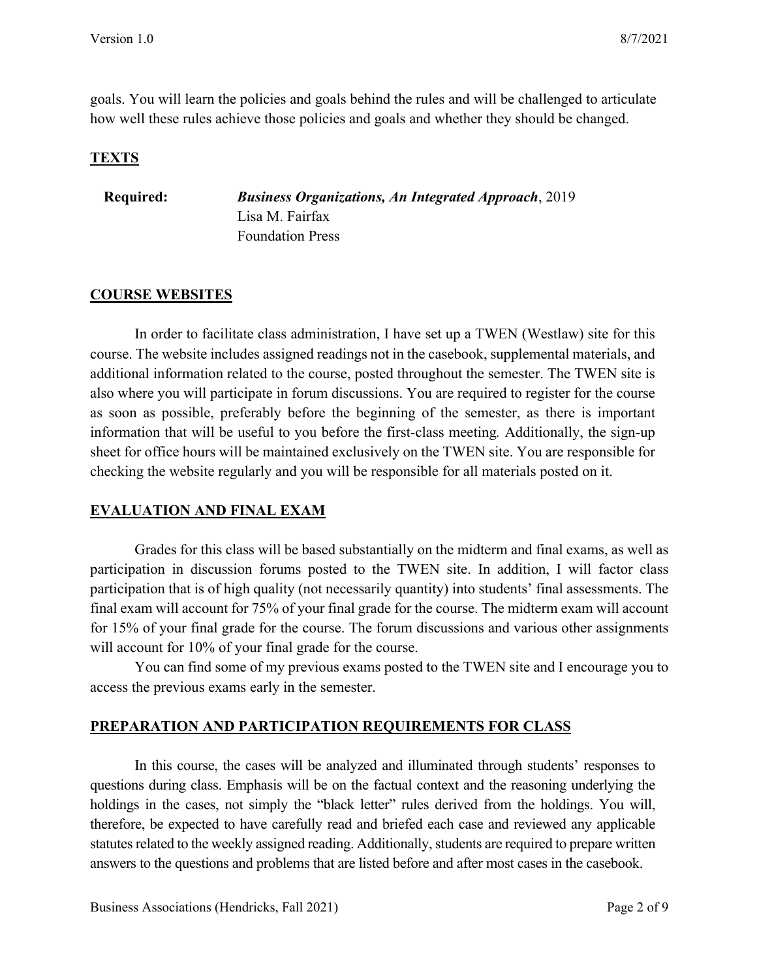goals. You will learn the policies and goals behind the rules and will be challenged to articulate how well these rules achieve those policies and goals and whether they should be changed.

### **TEXTS**

**Required:** *Business Organizations, An Integrated Approach*, 2019 Lisa M. Fairfax Foundation Press

### **COURSE WEBSITES**

In order to facilitate class administration, I have set up a TWEN (Westlaw) site for this course. The website includes assigned readings not in the casebook, supplemental materials, and additional information related to the course, posted throughout the semester. The TWEN site is also where you will participate in forum discussions. You are required to register for the course as soon as possible, preferably before the beginning of the semester, as there is important information that will be useful to you before the first-class meeting*.* Additionally, the sign-up sheet for office hours will be maintained exclusively on the TWEN site. You are responsible for checking the website regularly and you will be responsible for all materials posted on it.

### **EVALUATION AND FINAL EXAM**

Grades for this class will be based substantially on the midterm and final exams, as well as participation in discussion forums posted to the TWEN site. In addition, I will factor class participation that is of high quality (not necessarily quantity) into students' final assessments. The final exam will account for 75% of your final grade for the course. The midterm exam will account for 15% of your final grade for the course. The forum discussions and various other assignments will account for 10% of your final grade for the course.

You can find some of my previous exams posted to the TWEN site and I encourage you to access the previous exams early in the semester.

# **PREPARATION AND PARTICIPATION REQUIREMENTS FOR CLASS**

In this course, the cases will be analyzed and illuminated through students' responses to questions during class. Emphasis will be on the factual context and the reasoning underlying the holdings in the cases, not simply the "black letter" rules derived from the holdings. You will, therefore, be expected to have carefully read and briefed each case and reviewed any applicable statutes related to the weekly assigned reading. Additionally, students are required to prepare written answers to the questions and problems that are listed before and after most cases in the casebook.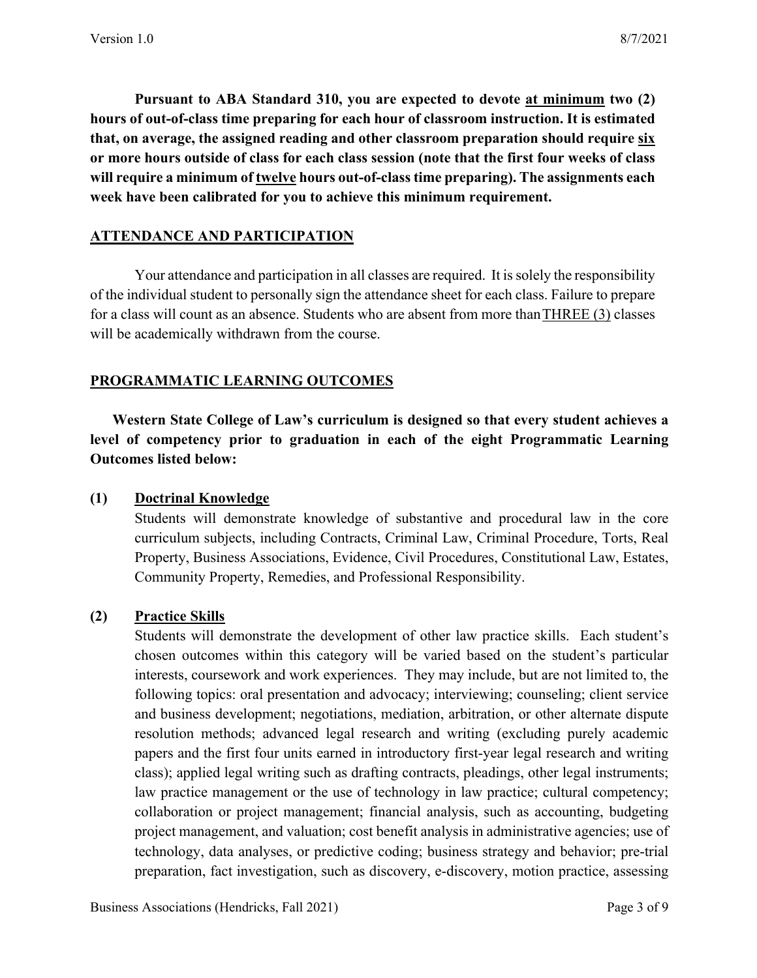**Pursuant to ABA Standard 310, you are expected to devote at minimum two (2) hours of out-of-class time preparing for each hour of classroom instruction. It is estimated that, on average, the assigned reading and other classroom preparation should require six or more hours outside of class for each class session (note that the first four weeks of class will require a minimum of twelve hours out-of-class time preparing). The assignments each week have been calibrated for you to achieve this minimum requirement.**

## **ATTENDANCE AND PARTICIPATION**

Your attendance and participation in all classes are required. It is solely the responsibility of the individual student to personally sign the attendance sheet for each class. Failure to prepare for a class will count as an absence. Students who are absent from more thanTHREE (3) classes will be academically withdrawn from the course.

## **PROGRAMMATIC LEARNING OUTCOMES**

**Western State College of Law's curriculum is designed so that every student achieves a level of competency prior to graduation in each of the eight Programmatic Learning Outcomes listed below:**

### **(1) Doctrinal Knowledge**

Students will demonstrate knowledge of substantive and procedural law in the core curriculum subjects, including Contracts, Criminal Law, Criminal Procedure, Torts, Real Property, Business Associations, Evidence, Civil Procedures, Constitutional Law, Estates, Community Property, Remedies, and Professional Responsibility.

# **(2) Practice Skills**

Students will demonstrate the development of other law practice skills. Each student's chosen outcomes within this category will be varied based on the student's particular interests, coursework and work experiences. They may include, but are not limited to, the following topics: oral presentation and advocacy; interviewing; counseling; client service and business development; negotiations, mediation, arbitration, or other alternate dispute resolution methods; advanced legal research and writing (excluding purely academic papers and the first four units earned in introductory first-year legal research and writing class); applied legal writing such as drafting contracts, pleadings, other legal instruments; law practice management or the use of technology in law practice; cultural competency; collaboration or project management; financial analysis, such as accounting, budgeting project management, and valuation; cost benefit analysis in administrative agencies; use of technology, data analyses, or predictive coding; business strategy and behavior; pre-trial preparation, fact investigation, such as discovery, e-discovery, motion practice, assessing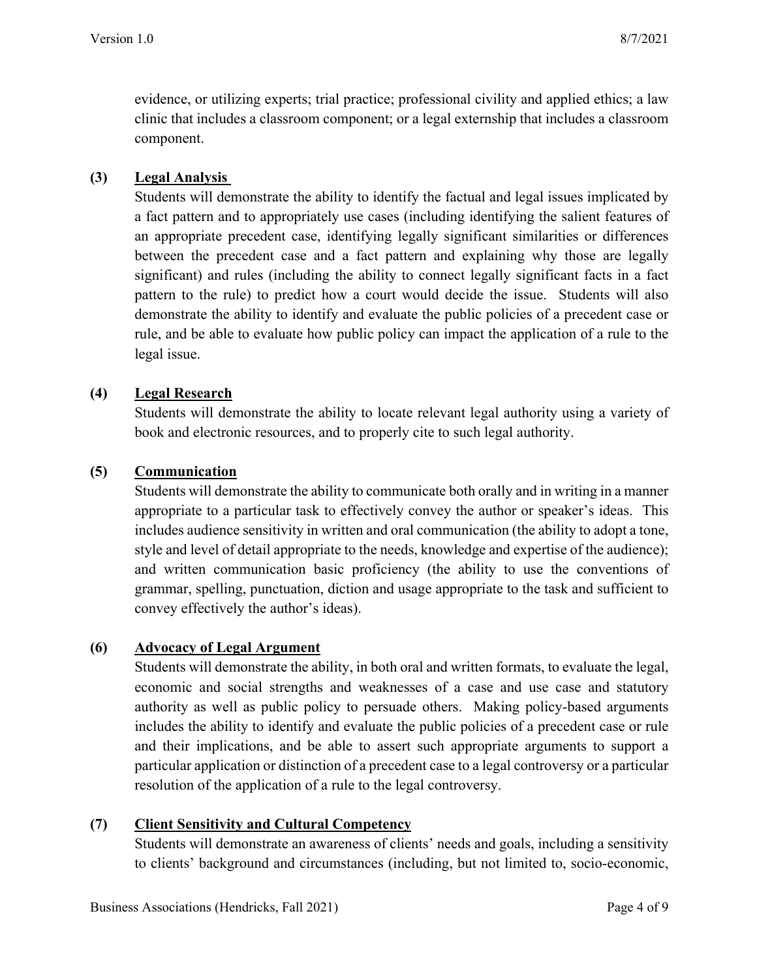evidence, or utilizing experts; trial practice; professional civility and applied ethics; a law clinic that includes a classroom component; or a legal externship that includes a classroom component.

## **(3) Legal Analysis**

Students will demonstrate the ability to identify the factual and legal issues implicated by a fact pattern and to appropriately use cases (including identifying the salient features of an appropriate precedent case, identifying legally significant similarities or differences between the precedent case and a fact pattern and explaining why those are legally significant) and rules (including the ability to connect legally significant facts in a fact pattern to the rule) to predict how a court would decide the issue. Students will also demonstrate the ability to identify and evaluate the public policies of a precedent case or rule, and be able to evaluate how public policy can impact the application of a rule to the legal issue.

## **(4) Legal Research**

Students will demonstrate the ability to locate relevant legal authority using a variety of book and electronic resources, and to properly cite to such legal authority.

## **(5) Communication**

Students will demonstrate the ability to communicate both orally and in writing in a manner appropriate to a particular task to effectively convey the author or speaker's ideas. This includes audience sensitivity in written and oral communication (the ability to adopt a tone, style and level of detail appropriate to the needs, knowledge and expertise of the audience); and written communication basic proficiency (the ability to use the conventions of grammar, spelling, punctuation, diction and usage appropriate to the task and sufficient to convey effectively the author's ideas).

### **(6) Advocacy of Legal Argument**

Students will demonstrate the ability, in both oral and written formats, to evaluate the legal, economic and social strengths and weaknesses of a case and use case and statutory authority as well as public policy to persuade others. Making policy-based arguments includes the ability to identify and evaluate the public policies of a precedent case or rule and their implications, and be able to assert such appropriate arguments to support a particular application or distinction of a precedent case to a legal controversy or a particular resolution of the application of a rule to the legal controversy.

# **(7) Client Sensitivity and Cultural Competency**

Students will demonstrate an awareness of clients' needs and goals, including a sensitivity to clients' background and circumstances (including, but not limited to, socio-economic,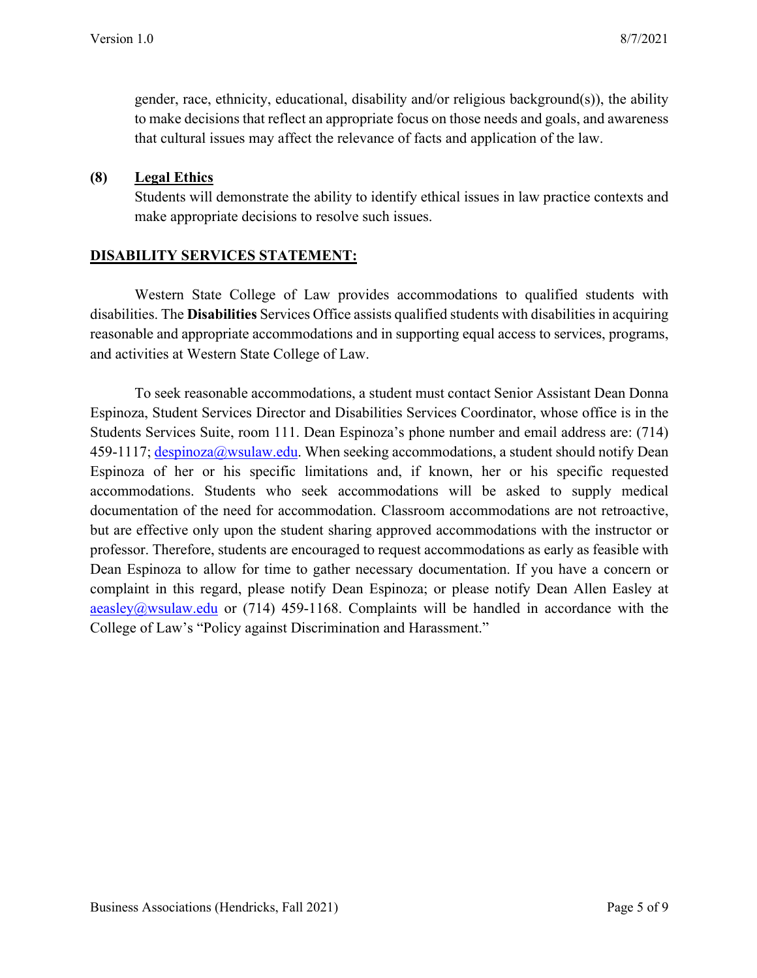gender, race, ethnicity, educational, disability and/or religious background(s)), the ability to make decisions that reflect an appropriate focus on those needs and goals, and awareness that cultural issues may affect the relevance of facts and application of the law.

### **(8) Legal Ethics**

Students will demonstrate the ability to identify ethical issues in law practice contexts and make appropriate decisions to resolve such issues.

### **DISABILITY SERVICES STATEMENT:**

Western State College of Law provides accommodations to qualified students with disabilities. The **Disabilities** Services Office assists qualified students with disabilities in acquiring reasonable and appropriate accommodations and in supporting equal access to services, programs, and activities at Western State College of Law.

To seek reasonable accommodations, a student must contact Senior Assistant Dean Donna Espinoza, Student Services Director and Disabilities Services Coordinator, whose office is in the Students Services Suite, room 111. Dean Espinoza's phone number and email address are: (714)  $459-1117$ ; despinoza@wsulaw.edu. When seeking accommodations, a student should notify Dean Espinoza of her or his specific limitations and, if known, her or his specific requested accommodations. Students who seek accommodations will be asked to supply medical documentation of the need for accommodation. Classroom accommodations are not retroactive, but are effective only upon the student sharing approved accommodations with the instructor or professor. Therefore, students are encouraged to request accommodations as early as feasible with Dean Espinoza to allow for time to gather necessary documentation. If you have a concern or complaint in this regard, please notify Dean Espinoza; or please notify Dean Allen Easley at aeasley@wsulaw.edu or (714) 459-1168. Complaints will be handled in accordance with the College of Law's "Policy against Discrimination and Harassment."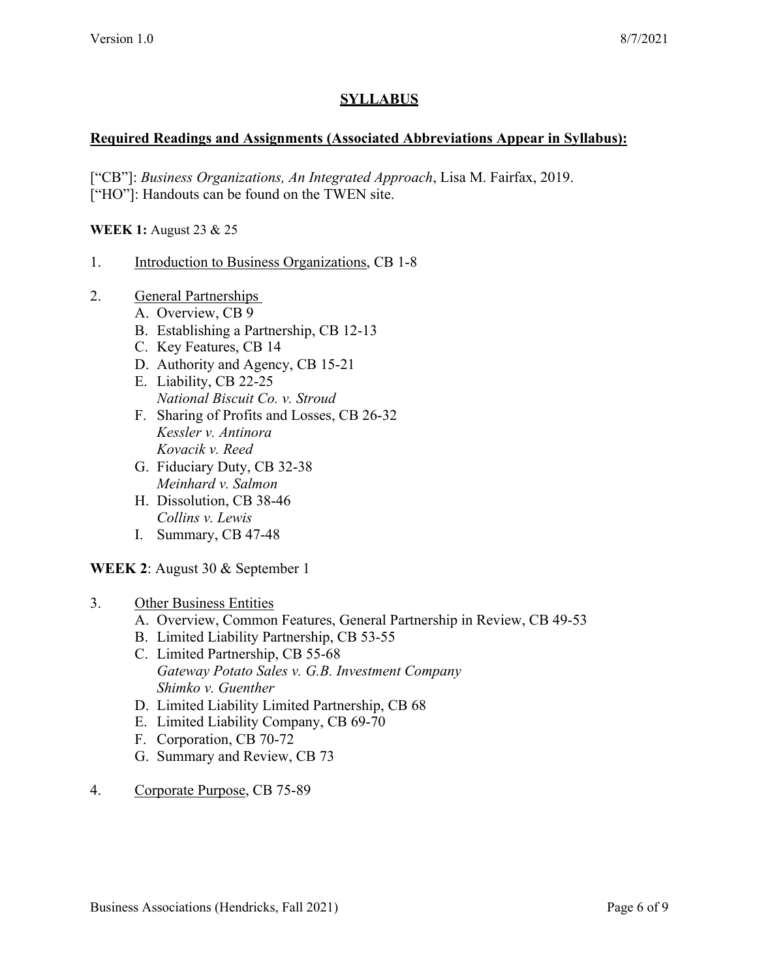# **SYLLABUS**

### **Required Readings and Assignments (Associated Abbreviations Appear in Syllabus):**

["CB"]: *Business Organizations, An Integrated Approach*, Lisa M. Fairfax, 2019. ["HO"]: Handouts can be found on the TWEN site.

#### **WEEK 1:** August 23 & 25

- 1. Introduction to Business Organizations, CB 1-8
- 2. General Partnerships
	- A. Overview, CB 9
	- B. Establishing a Partnership, CB 12-13
	- C. Key Features, CB 14
	- D. Authority and Agency, CB 15-21
	- E. Liability, CB 22-25 *National Biscuit Co. v. Stroud*
	- F. Sharing of Profits and Losses, CB 26-32 *Kessler v. Antinora Kovacik v. Reed*
	- G. Fiduciary Duty, CB 32-38 *Meinhard v. Salmon*
	- H. Dissolution, CB 38-46 *Collins v. Lewis*
	- I. Summary, CB 47-48

#### **WEEK 2**: August 30 & September 1

#### 3. Other Business Entities

- A. Overview, Common Features, General Partnership in Review, CB 49-53
- B. Limited Liability Partnership, CB 53-55
- C. Limited Partnership, CB 55-68 *Gateway Potato Sales v. G.B. Investment Company Shimko v. Guenther*
- D. Limited Liability Limited Partnership, CB 68
- E. Limited Liability Company, CB 69-70
- F. Corporation, CB 70-72
- G. Summary and Review, CB 73
- 4. Corporate Purpose, CB 75-89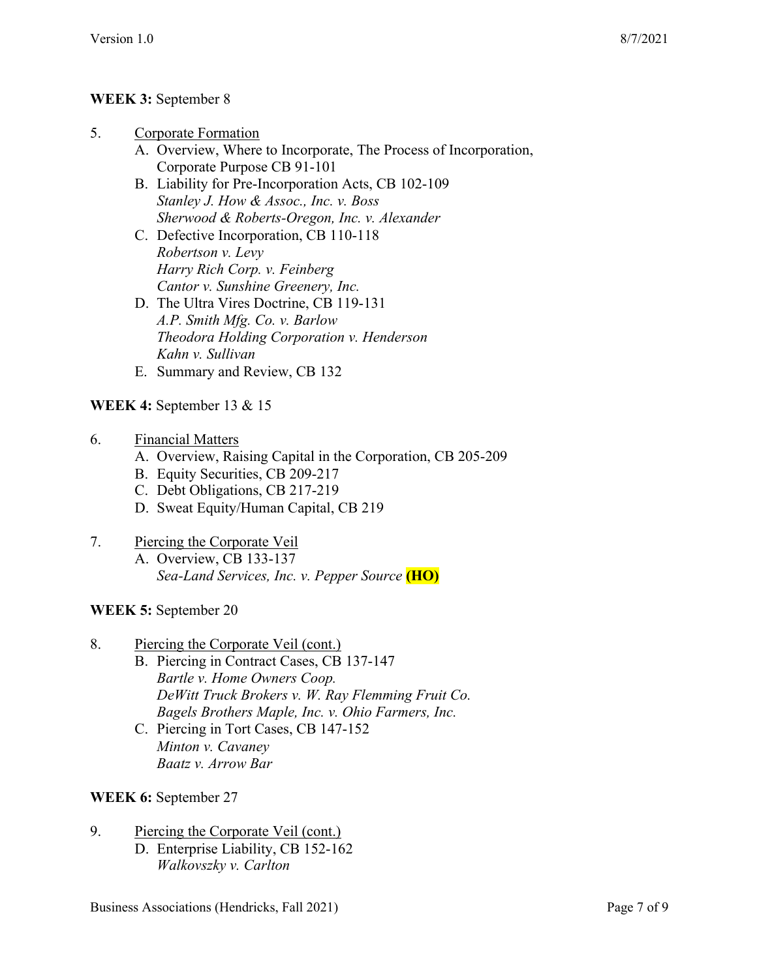# **WEEK 3:** September 8

- 5. Corporate Formation
	- A. Overview, Where to Incorporate, The Process of Incorporation, Corporate Purpose CB 91-101
	- B. Liability for Pre-Incorporation Acts, CB 102-109 *Stanley J. How & Assoc., Inc. v. Boss Sherwood & Roberts-Oregon, Inc. v. Alexander*
	- C. Defective Incorporation, CB 110-118 *Robertson v. Levy Harry Rich Corp. v. Feinberg Cantor v. Sunshine Greenery, Inc.*
	- D. The Ultra Vires Doctrine, CB 119-131 *A.P. Smith Mfg. Co. v. Barlow Theodora Holding Corporation v. Henderson Kahn v. Sullivan*
	- E. Summary and Review, CB 132

# **WEEK 4:** September 13 & 15

- 6. Financial Matters
	- A. Overview, Raising Capital in the Corporation, CB 205-209
	- B. Equity Securities, CB 209-217
	- C. Debt Obligations, CB 217-219
	- D. Sweat Equity/Human Capital, CB 219

# 7. Piercing the Corporate Veil

- A. Overview, CB 133-137 *Sea-Land Services, Inc. v. Pepper Source* **(HO)**
- **WEEK 5:** September 20
- 8. Piercing the Corporate Veil (cont.)
	- B. Piercing in Contract Cases, CB 137-147 *Bartle v. Home Owners Coop. DeWitt Truck Brokers v. W. Ray Flemming Fruit Co. Bagels Brothers Maple, Inc. v. Ohio Farmers, Inc.*
	- C. Piercing in Tort Cases, CB 147-152 *Minton v. Cavaney Baatz v. Arrow Bar*

# **WEEK 6:** September 27

- 9. Piercing the Corporate Veil (cont.)
	- D. Enterprise Liability, CB 152-162 *Walkovszky v. Carlton*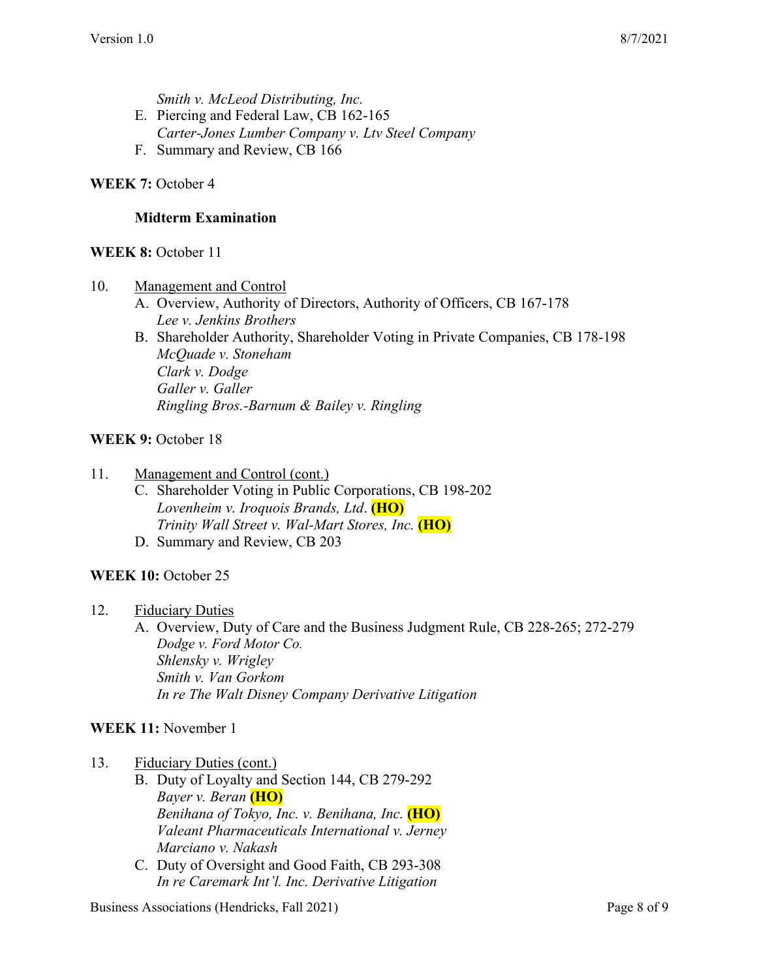*Smith v. McLeod Distributing, Inc.*

- E. Piercing and Federal Law, CB 162-165
- *Carter-Jones Lumber Company v. Ltv Steel Company*
- F. Summary and Review, CB 166

### WEEK 7: October 4

### **Midterm Examination**

### **WEEK 8:** October 11

- 10. Management and Control
	- A. Overview, Authority of Directors, Authority of Officers, CB 167-178 *Lee v. Jenkins Brothers*
	- B. Shareholder Authority, Shareholder Voting in Private Companies, CB 178-198 *McQuade v. Stoneham Clark v. Dodge Galler v. Galler Ringling Bros.-Barnum & Bailey v. Ringling*

#### **WEEK 9:** October 18

#### 11. Management and Control (cont.)

- C. Shareholder Voting in Public Corporations, CB 198-202 *Lovenheim v. Iroquois Brands, Ltd*. **(HO)** *Trinity Wall Street v. Wal-Mart Stores, Inc.* **(HO)**
- D. Summary and Review, CB 203

#### **WEEK 10: October 25**

12. Fiduciary Duties

A. Overview, Duty of Care and the Business Judgment Rule, CB 228-265; 272-279 *Dodge v. Ford Motor Co. Shlensky v. Wrigley Smith v. Van Gorkom In re The Walt Disney Company Derivative Litigation*

### **WEEK 11:** November 1

### 13. Fiduciary Duties (cont.)

- B. Duty of Loyalty and Section 144, CB 279-292 *Bayer v. Beran* **(HO)** *Benihana of Tokyo, Inc. v. Benihana, Inc.* **(HO)** *Valeant Pharmaceuticals International v. Jerney Marciano v. Nakash*
- C. Duty of Oversight and Good Faith, CB 293-308 *In re Caremark Int'l. Inc. Derivative Litigation*

Business Associations (Hendricks, Fall 2021) Page 8 of 9